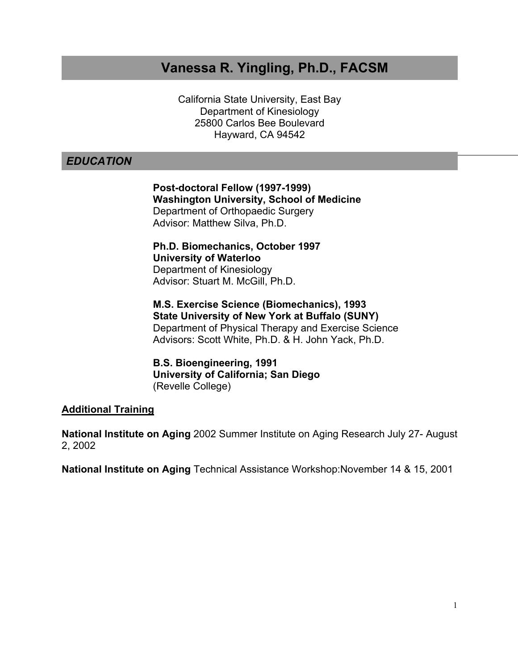# **Vanessa R. Yingling, Ph.D., FACSM**

California State University, East Bay Department of Kinesiology 25800 Carlos Bee Boulevard Hayward, CA 94542

# *EDUCATION*

**Post-doctoral Fellow (1997-1999) Washington University, School of Medicine** Department of Orthopaedic Surgery Advisor: Matthew Silva, Ph.D.

**Ph.D. Biomechanics, October 1997 University of Waterloo** Department of Kinesiology Advisor: Stuart M. McGill, Ph.D.

**M.S. Exercise Science (Biomechanics), 1993 State University of New York at Buffalo (SUNY)** Department of Physical Therapy and Exercise Science Advisors: Scott White, Ph.D. & H. John Yack, Ph.D.

**B.S. Bioengineering, 1991 University of California; San Diego** (Revelle College)

# **Additional Training**

**National Institute on Aging** 2002 Summer Institute on Aging Research July 27- August 2, 2002

**National Institute on Aging** Technical Assistance Workshop:November 14 & 15, 2001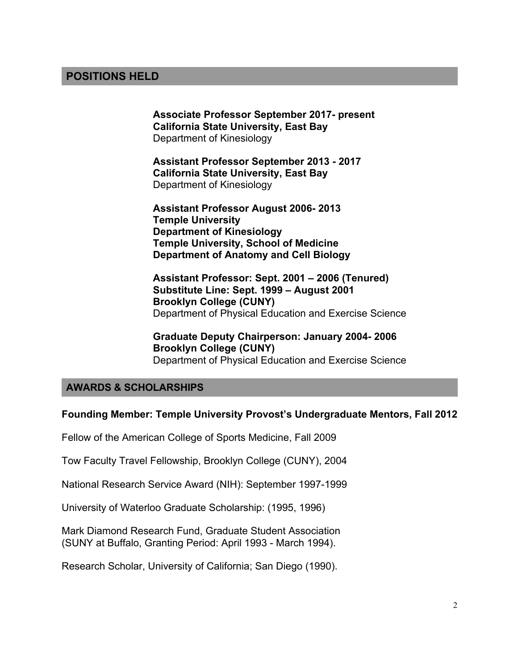# **POSITIONS HELD**

**Associate Professor September 2017- present California State University, East Bay** Department of Kinesiology

**Assistant Professor September 2013 - 2017 California State University, East Bay** Department of Kinesiology

**Assistant Professor August 2006- 2013 Temple University Department of Kinesiology Temple University, School of Medicine Department of Anatomy and Cell Biology**

**Assistant Professor: Sept. 2001 – 2006 (Tenured) Substitute Line: Sept. 1999 – August 2001 Brooklyn College (CUNY)**  Department of Physical Education and Exercise Science

**Graduate Deputy Chairperson: January 2004- 2006 Brooklyn College (CUNY)**  Department of Physical Education and Exercise Science

### **AWARDS & SCHOLARSHIPS**

#### **Founding Member: Temple University Provost's Undergraduate Mentors, Fall 2012**

Fellow of the American College of Sports Medicine, Fall 2009

Tow Faculty Travel Fellowship, Brooklyn College (CUNY), 2004

National Research Service Award (NIH): September 1997-1999

University of Waterloo Graduate Scholarship: (1995, 1996)

Mark Diamond Research Fund, Graduate Student Association (SUNY at Buffalo, Granting Period: April 1993 - March 1994).

Research Scholar, University of California; San Diego (1990).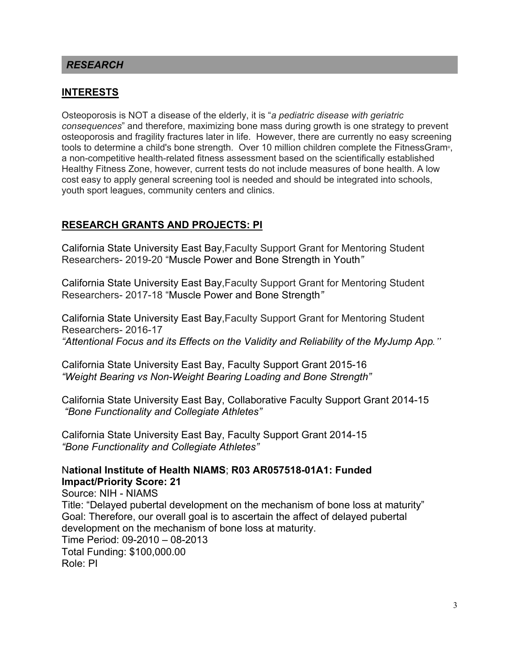### *RESEARCH*

### **INTERESTS**

Osteoporosis is NOT a disease of the elderly, it is "*a pediatric disease with geriatric consequences*" and therefore, maximizing bone mass during growth is one strategy to prevent osteoporosis and fragility fractures later in life. However, there are currently no easy screening tools to determine a child's bone strength. Over 10 million children complete the FitnessGram®, a non-competitive health-related fitness assessment based on the scientifically established Healthy Fitness Zone, however, current tests do not include measures of bone health. A low cost easy to apply general screening tool is needed and should be integrated into schools, youth sport leagues, community centers and clinics.

### **RESEARCH GRANTS AND PROJECTS: PI**

California State University East Bay,Faculty Support Grant for Mentoring Student Researchers- 2019-20 "Muscle Power and Bone Strength in Youth*"*

California State University East Bay,Faculty Support Grant for Mentoring Student Researchers- 2017-18 "Muscle Power and Bone Strength*"*

California State University East Bay,Faculty Support Grant for Mentoring Student Researchers- 2016-17 *"Attentional Focus and its Effects on the Validity and Reliability of the MyJump App."* 

California State University East Bay, Faculty Support Grant 2015-16 *"Weight Bearing vs Non-Weight Bearing Loading and Bone Strength"*

California State University East Bay, Collaborative Faculty Support Grant 2014-15 *"Bone Functionality and Collegiate Athletes"*

California State University East Bay, Faculty Support Grant 2014-15 *"Bone Functionality and Collegiate Athletes"*

### N**ational Institute of Health NIAMS**; **R03 AR057518-01A1: Funded Impact/Priority Score: 21**

Source: NIH - NIAMS Title: "Delayed pubertal development on the mechanism of bone loss at maturity" Goal: Therefore, our overall goal is to ascertain the affect of delayed pubertal development on the mechanism of bone loss at maturity. Time Period: 09-2010 – 08-2013 Total Funding: \$100,000.00 Role: PI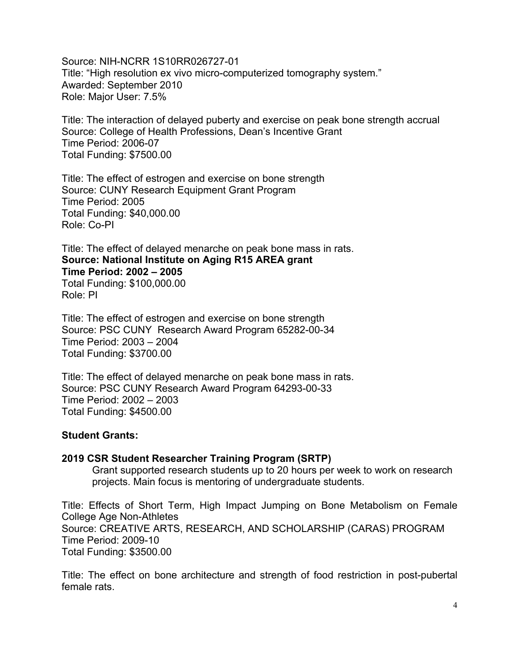Source: NIH-NCRR 1S10RR026727-01 Title: "High resolution ex vivo micro-computerized tomography system." Awarded: September 2010 Role: Major User: 7.5%

Title: The interaction of delayed puberty and exercise on peak bone strength accrual Source: College of Health Professions, Dean's Incentive Grant Time Period: 2006-07 Total Funding: \$7500.00

Title: The effect of estrogen and exercise on bone strength Source: CUNY Research Equipment Grant Program Time Period: 2005 Total Funding: \$40,000.00 Role: Co-PI

Title: The effect of delayed menarche on peak bone mass in rats. **Source: National Institute on Aging R15 AREA grant Time Period: 2002 – 2005** Total Funding: \$100,000.00 Role: PI

Title: The effect of estrogen and exercise on bone strength Source: PSC CUNY Research Award Program 65282-00-34 Time Period: 2003 – 2004 Total Funding: \$3700.00

Title: The effect of delayed menarche on peak bone mass in rats. Source: PSC CUNY Research Award Program 64293-00-33 Time Period: 2002 – 2003 Total Funding: \$4500.00

#### **Student Grants:**

#### **2019 CSR Student Researcher Training Program (SRTP)**

Grant supported research students up to 20 hours per week to work on research projects. Main focus is mentoring of undergraduate students.

Title: Effects of Short Term, High Impact Jumping on Bone Metabolism on Female College Age Non-Athletes Source: CREATIVE ARTS, RESEARCH, AND SCHOLARSHIP (CARAS) PROGRAM Time Period: 2009-10 Total Funding: \$3500.00

Title: The effect on bone architecture and strength of food restriction in post-pubertal female rats.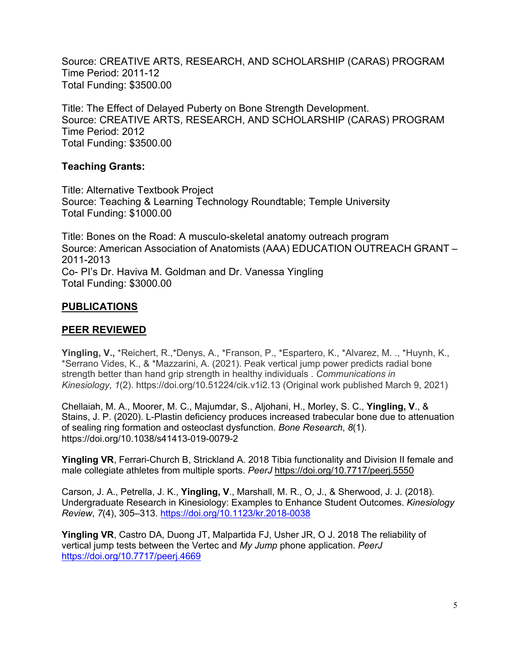Source: CREATIVE ARTS, RESEARCH, AND SCHOLARSHIP (CARAS) PROGRAM Time Period: 2011-12 Total Funding: \$3500.00

Title: The Effect of Delayed Puberty on Bone Strength Development. Source: CREATIVE ARTS, RESEARCH, AND SCHOLARSHIP (CARAS) PROGRAM Time Period: 2012 Total Funding: \$3500.00

# **Teaching Grants:**

Title: Alternative Textbook Project Source: Teaching & Learning Technology Roundtable; Temple University Total Funding: \$1000.00

Title: Bones on the Road: A musculo-skeletal anatomy outreach program Source: American Association of Anatomists (AAA) EDUCATION OUTREACH GRANT – 2011-2013 Co- PI's Dr. Haviva M. Goldman and Dr. Vanessa Yingling Total Funding: \$3000.00

# **PUBLICATIONS**

# **PEER REVIEWED**

**Yingling, V.,** \*Reichert, R.,\*Denys, A., \*Franson, P., \*Espartero, K., \*Alvarez, M. ., \*Huynh, K., \*Serrano Vides, K., & \*Mazzarini, A. (2021). Peak vertical jump power predicts radial bone strength better than hand grip strength in healthy individuals . *Communications in Kinesiology*, *1*(2). https://doi.org/10.51224/cik.v1i2.13 (Original work published March 9, 2021)

Chellaiah, M. A., Moorer, M. C., Majumdar, S., Aljohani, H., Morley, S. C., **Yingling, V**., & Stains, J. P. (2020). L-Plastin deficiency produces increased trabecular bone due to attenuation of sealing ring formation and osteoclast dysfunction. *Bone Research*, *8*(1). https://doi.org/10.1038/s41413-019-0079-2

**Yingling VR**, Ferrari-Church B, Strickland A. 2018 Tibia functionality and Division II female and male collegiate athletes from multiple sports. *PeerJ* https://doi.org/10.7717/peerj.5550

Carson, J. A., Petrella, J. K., **Yingling, V**., Marshall, M. R., O, J., & Sherwood, J. J. (2018). Undergraduate Research in Kinesiology: Examples to Enhance Student Outcomes. *Kinesiology Review*, *7*(4), 305–313. https://doi.org/10.1123/kr.2018-0038

**Yingling VR**, Castro DA, Duong JT, Malpartida FJ, Usher JR, O J. 2018 The reliability of vertical jump tests between the Vertec and *My Jump* phone application. *PeerJ* https://doi.org/10.7717/peerj.4669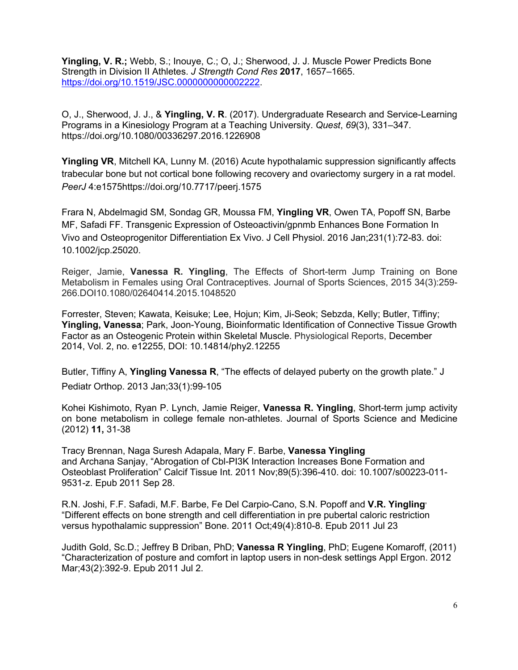**Yingling, V. R.;** Webb, S.; Inouye, C.; O, J.; Sherwood, J. J. Muscle Power Predicts Bone Strength in Division II Athletes. *J Strength Cond Res* **2017**, 1657–1665. https://doi.org/10.1519/JSC.0000000000002222.

O, J., Sherwood, J. J., & **Yingling, V. R**. (2017). Undergraduate Research and Service-Learning Programs in a Kinesiology Program at a Teaching University. *Quest*, *69*(3), 331–347. https://doi.org/10.1080/00336297.2016.1226908

**Yingling VR**, Mitchell KA, Lunny M. (2016) Acute hypothalamic suppression significantly affects trabecular bone but not cortical bone following recovery and ovariectomy surgery in a rat model. *PeerJ* 4:e1575https://doi.org/10.7717/peerj.1575

Frara N, Abdelmagid SM, Sondag GR, Moussa FM, **Yingling VR**, Owen TA, Popoff SN, Barbe MF, Safadi FF. Transgenic Expression of Osteoactivin/gpnmb Enhances Bone Formation In Vivo and Osteoprogenitor Differentiation Ex Vivo. J Cell Physiol. 2016 Jan;231(1):72-83. doi: 10.1002/jcp.25020.

Reiger, Jamie, **Vanessa R. Yingling**, The Effects of Short-term Jump Training on Bone Metabolism in Females using Oral Contraceptives. Journal of Sports Sciences, 2015 34(3):259- 266.DOI10.1080/02640414.2015.1048520

Forrester, Steven; Kawata, Keisuke; Lee, Hojun; Kim, Ji-Seok; Sebzda, Kelly; Butler, Tiffiny; **Yingling, Vanessa**; Park, Joon-Young, Bioinformatic Identification of Connective Tissue Growth Factor as an Osteogenic Protein within Skeletal Muscle. Physiological Reports, December 2014, Vol. 2, no. e12255, DOI: 10.14814/phy2.12255

Butler, Tiffiny A, **Yingling Vanessa R**, "The effects of delayed puberty on the growth plate." J Pediatr Orthop. 2013 Jan;33(1):99-105

Kohei Kishimoto, Ryan P. Lynch, Jamie Reiger, **Vanessa R. Yingling**, Short-term jump activity on bone metabolism in college female non-athletes. Journal of Sports Science and Medicine (2012) **11,** 31-38

Tracy Brennan, Naga Suresh Adapala, Mary F. Barbe, **Vanessa Yingling** and Archana Sanjay, "Abrogation of Cbl-PI3K Interaction Increases Bone Formation and Osteoblast Proliferation" Calcif Tissue Int. 2011 Nov;89(5):396-410. doi: 10.1007/s00223-011- 9531-z. Epub 2011 Sep 28.

R.N. Joshi, F.F. Safadi, M.F. Barbe, Fe Del Carpio-Cano, S.N. Popoff and **V.R. Yingling,** "Different effects on bone strength and cell differentiation in pre pubertal caloric restriction versus hypothalamic suppression" Bone. 2011 Oct;49(4):810-8. Epub 2011 Jul 23

Judith Gold, Sc.D.; Jeffrey B Driban, PhD; **Vanessa R Yingling**, PhD; Eugene Komaroff, (2011) "Characterization of posture and comfort in laptop users in non-desk settings Appl Ergon. 2012 Mar;43(2):392-9. Epub 2011 Jul 2.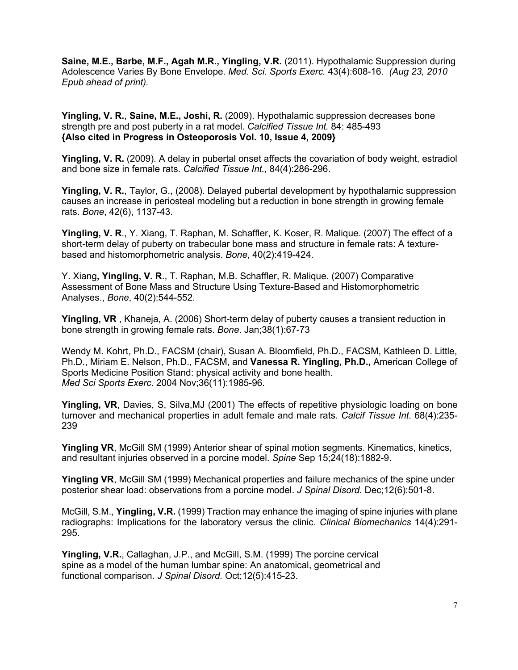**Saine, M.E., Barbe, M.F., Agah M.R., Yingling, V.R.** (2011). Hypothalamic Suppression during Adolescence Varies By Bone Envelope. *Med. Sci. Sports Exerc.* 43(4):608-16. *(Aug 23, 2010 Epub ahead of print).*

**Yingling, V. R.**, **Saine, M.E., Joshi, R.** (2009). Hypothalamic suppression decreases bone strength pre and post puberty in a rat model. *Calcified Tissue Int.* 84: 485-493 **{Also cited in Progress in Osteoporosis Vol. 10, Issue 4, 2009}**

**Yingling, V. R.** (2009). A delay in pubertal onset affects the covariation of body weight, estradiol and bone size in female rats. *Calcified Tissue Int.,* 84(4):286-296.

**Yingling, V. R.**, Taylor, G., (2008). Delayed pubertal development by hypothalamic suppression causes an increase in periosteal modeling but a reduction in bone strength in growing female rats. *Bone*, 42(6), 1137-43.

**Yingling, V. R**., Y. Xiang, T. Raphan, M. Schaffler, K. Koser, R. Malique. (2007) The effect of a short-term delay of puberty on trabecular bone mass and structure in female rats: A texturebased and histomorphometric analysis. *Bone*, 40(2):419-424.

Y. Xiang**, Yingling, V. R**., T. Raphan, M.B. Schaffler, R. Malique. (2007) Comparative Assessment of Bone Mass and Structure Using Texture-Based and Histomorphometric Analyses., *Bone*, 40(2):544-552.

**Yingling, VR** , Khaneja, A. (2006) Short-term delay of puberty causes a transient reduction in bone strength in growing female rats. *Bone*. Jan;38(1):67-73

Wendy M. Kohrt, Ph.D., FACSM (chair), Susan A. Bloomfield, Ph.D., FACSM, Kathleen D. Little, Ph.D., Miriam E. Nelson, Ph.D., FACSM, and **Vanessa R. Yingling, Ph.D.,** American College of Sports Medicine Position Stand: physical activity and bone health. *Med Sci Sports Exerc*. 2004 Nov;36(11):1985-96.

Yingling, VR, Davies, S, Silva, MJ (2001) The effects of repetitive physiologic loading on bone turnover and mechanical properties in adult female and male rats. *Calcif Tissue Int*. 68(4):235- 239

**Yingling VR**, McGill SM (1999) Anterior shear of spinal motion segments. Kinematics, kinetics, and resultant injuries observed in a porcine model. *Spine* Sep 15;24(18):1882-9.

**Yingling VR**, McGill SM (1999) Mechanical properties and failure mechanics of the spine under posterior shear load: observations from a porcine model. *J Spinal Disord.* Dec;12(6):501-8.

McGill, S.M., **Yingling, V.R.** (1999) Traction may enhance the imaging of spine injuries with plane radiographs: Implications for the laboratory versus the clinic. *Clinical Biomechanics* 14(4):291- 295.

**Yingling, V.R.**, Callaghan, J.P., and McGill, S.M. (1999) The porcine cervical spine as a model of the human lumbar spine: An anatomical, geometrical and functional comparison. *J Spinal Disord.* Oct;12(5):415-23.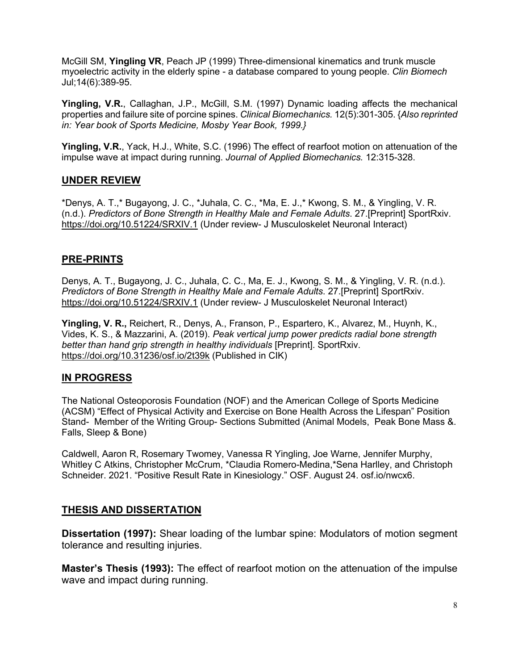McGill SM, **Yingling VR**, Peach JP (1999) Three-dimensional kinematics and trunk muscle myoelectric activity in the elderly spine - a database compared to young people. *Clin Biomech* Jul;14(6):389-95.

**Yingling, V.R.**, Callaghan, J.P., McGill, S.M. (1997) Dynamic loading affects the mechanical properties and failure site of porcine spines. *Clinical Biomechanics.* 12(5):301-305. {*Also reprinted in: Year book of Sports Medicine, Mosby Year Book, 1999.}*

**Yingling, V.R.**, Yack, H.J., White, S.C. (1996) The effect of rearfoot motion on attenuation of the impulse wave at impact during running. *Journal of Applied Biomechanics.* 12:315-328.

# **UNDER REVIEW**

\*Denys, A. T.,\* Bugayong, J. C., \*Juhala, C. C., \*Ma, E. J.,\* Kwong, S. M., & Yingling, V. R. (n.d.). *Predictors of Bone Strength in Healthy Male and Female Adults*. 27.[Preprint] SportRxiv. https://doi.org/10.51224/SRXIV.1 (Under review- J Musculoskelet Neuronal Interact)

# **PRE-PRINTS**

Denys, A. T., Bugayong, J. C., Juhala, C. C., Ma, E. J., Kwong, S. M., & Yingling, V. R. (n.d.). *Predictors of Bone Strength in Healthy Male and Female Adults*. 27.[Preprint] SportRxiv. https://doi.org/10.51224/SRXIV.1 (Under review- J Musculoskelet Neuronal Interact)

**Yingling, V. R.,** Reichert, R., Denys, A., Franson, P., Espartero, K., Alvarez, M., Huynh, K., Vides, K. S., & Mazzarini, A. (2019). *Peak vertical jump power predicts radial bone strength better than hand grip strength in healthy individuals* [Preprint]. SportRxiv. https://doi.org/10.31236/osf.io/2t39k (Published in CIK)

# **IN PROGRESS**

The National Osteoporosis Foundation (NOF) and the American College of Sports Medicine (ACSM) "Effect of Physical Activity and Exercise on Bone Health Across the Lifespan" Position Stand- Member of the Writing Group- Sections Submitted (Animal Models, Peak Bone Mass &. Falls, Sleep & Bone)

Caldwell, Aaron R, Rosemary Twomey, Vanessa R Yingling, Joe Warne, Jennifer Murphy, Whitley C Atkins, Christopher McCrum, \*Claudia Romero-Medina,\*Sena Harlley, and Christoph Schneider. 2021. "Positive Result Rate in Kinesiology." OSF. August 24. osf.io/nwcx6.

# **THESIS AND DISSERTATION**

**Dissertation (1997):** Shear loading of the lumbar spine: Modulators of motion segment tolerance and resulting injuries.

**Master's Thesis (1993):** The effect of rearfoot motion on the attenuation of the impulse wave and impact during running.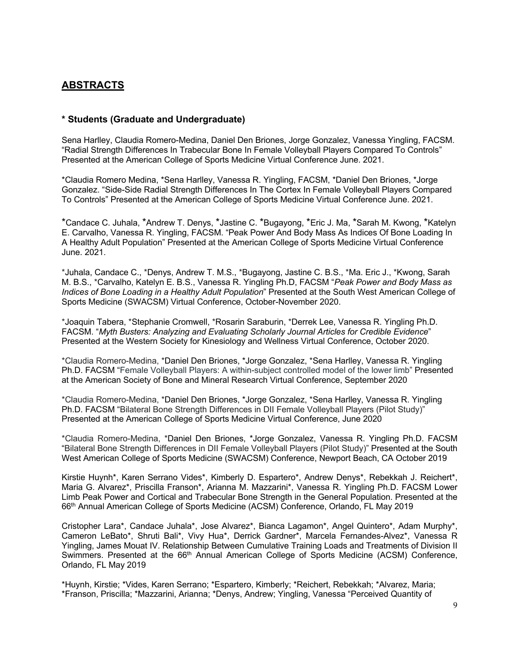# **ABSTRACTS**

#### **\* Students (Graduate and Undergraduate)**

Sena Harlley, Claudia Romero-Medina, Daniel Den Briones, Jorge Gonzalez, Vanessa Yingling, FACSM. "Radial Strength Differences In Trabecular Bone In Female Volleyball Players Compared To Controls" Presented at the American College of Sports Medicine Virtual Conference June. 2021.

\*Claudia Romero Medina, \*Sena Harlley, Vanessa R. Yingling, FACSM, \*Daniel Den Briones, \*Jorge Gonzalez. "Side-Side Radial Strength Differences In The Cortex In Female Volleyball Players Compared To Controls" Presented at the American College of Sports Medicine Virtual Conference June. 2021.

\*Candace C. Juhala, \*Andrew T. Denys, \*Jastine C. \*Bugayong, \*Eric J. Ma, \*Sarah M. Kwong, \*Katelyn E. Carvalho, Vanessa R. Yingling, FACSM. "Peak Power And Body Mass As Indices Of Bone Loading In A Healthy Adult Population" Presented at the American College of Sports Medicine Virtual Conference June. 2021.

\*Juhala, Candace C., \*Denys, Andrew T. M.S., \*Bugayong, Jastine C. B.S., \*Ma. Eric J., \*Kwong, Sarah M. B.S., \*Carvalho, Katelyn E. B.S., Vanessa R. Yingling Ph.D, FACSM "*Peak Power and Body Mass as Indices of Bone Loading in a Healthy Adult Population*" Presented at the South West American College of Sports Medicine (SWACSM) Virtual Conference, October-November 2020.

\*Joaquin Tabera, \*Stephanie Cromwell, \*Rosarin Saraburin, \*Derrek Lee, Vanessa R. Yingling Ph.D. FACSM. "*Myth Busters: Analyzing and Evaluating Scholarly Journal Articles for Credible Evidence*" Presented at the Western Society for Kinesiology and Wellness Virtual Conference, October 2020.

\*Claudia Romero-Medina, \*Daniel Den Briones, \*Jorge Gonzalez, \*Sena Harlley, Vanessa R. Yingling Ph.D. FACSM "Female Volleyball Players: A within-subject controlled model of the lower limb" Presented at the American Society of Bone and Mineral Research Virtual Conference, September 2020

\*Claudia Romero-Medina, \*Daniel Den Briones, \*Jorge Gonzalez, \*Sena Harlley, Vanessa R. Yingling Ph.D. FACSM "Bilateral Bone Strength Differences in DII Female Volleyball Players (Pilot Study)" Presented at the American College of Sports Medicine Virtual Conference, June 2020

\*Claudia Romero-Medina, \*Daniel Den Briones, \*Jorge Gonzalez, Vanessa R. Yingling Ph.D. FACSM "Bilateral Bone Strength Differences in DII Female Volleyball Players (Pilot Study)" Presented at the South West American College of Sports Medicine (SWACSM) Conference, Newport Beach, CA October 2019

Kirstie Huynh\*, Karen Serrano Vides\*, Kimberly D. Espartero\*, Andrew Denys\*, Rebekkah J. Reichert\*, Maria G. Alvarez\*, Priscilla Franson\*, Arianna M. Mazzarini\*, Vanessa R. Yingling Ph.D. FACSM Lower Limb Peak Power and Cortical and Trabecular Bone Strength in the General Population. Presented at the 66th Annual American College of Sports Medicine (ACSM) Conference, Orlando, FL May 2019

Cristopher Lara\*, Candace Juhala\*, Jose Alvarez\*, Bianca Lagamon\*, Angel Quintero\*, Adam Murphy\*, Cameron LeBato\*, Shruti Bali\*, Vivy Hua\*, Derrick Gardner\*, Marcela Fernandes-Alvez\*, Vanessa R Yingling, James Mouat IV. Relationship Between Cumulative Training Loads and Treatments of Division II Swimmers. Presented at the 66<sup>th</sup> Annual American College of Sports Medicine (ACSM) Conference, Orlando, FL May 2019

\*Huynh, Kirstie; \*Vides, Karen Serrano; \*Espartero, Kimberly; \*Reichert, Rebekkah; \*Alvarez, Maria; \*Franson, Priscilla; \*Mazzarini, Arianna; \*Denys, Andrew; Yingling, Vanessa "Perceived Quantity of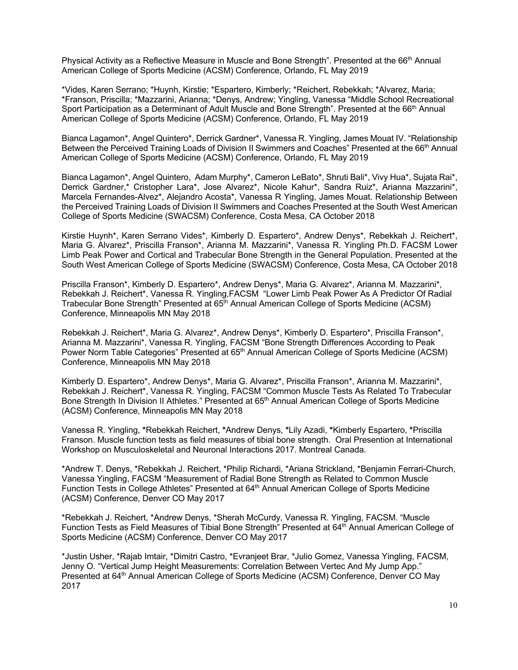Physical Activity as a Reflective Measure in Muscle and Bone Strength". Presented at the 66<sup>th</sup> Annual American College of Sports Medicine (ACSM) Conference, Orlando, FL May 2019

\*Vides, Karen Serrano; \*Huynh, Kirstie; \*Espartero, Kimberly; \*Reichert, Rebekkah; \*Alvarez, Maria; \*Franson, Priscilla; \*Mazzarini, Arianna; \*Denys, Andrew; Yingling, Vanessa "Middle School Recreational Sport Participation as a Determinant of Adult Muscle and Bone Strength". Presented at the 66<sup>th</sup> Annual American College of Sports Medicine (ACSM) Conference, Orlando, FL May 2019

Bianca Lagamon\*, Angel Quintero\*, Derrick Gardner\*, Vanessa R. Yingling, James Mouat IV. "Relationship Between the Perceived Training Loads of Division II Swimmers and Coaches" Presented at the 66<sup>th</sup> Annual American College of Sports Medicine (ACSM) Conference, Orlando, FL May 2019

Bianca Lagamon\*, Angel Quintero, Adam Murphy\*, Cameron LeBato\*, Shruti Bali\*, Vivy Hua\*, Sujata Rai\*, Derrick Gardner,\* Cristopher Lara\*, Jose Alvarez\*, Nicole Kahur\*, Sandra Ruiz\*, Arianna Mazzarini\*, Marcela Fernandes-Alvez\*, Alejandro Acosta\*, Vanessa R Yingling, James Mouat. Relationship Between the Perceived Training Loads of Division II Swimmers and Coaches Presented at the South West American College of Sports Medicine (SWACSM) Conference, Costa Mesa, CA October 2018

Kirstie Huynh\*, Karen Serrano Vides\*, Kimberly D. Espartero\*, Andrew Denys\*, Rebekkah J. Reichert\*, Maria G. Alvarez\*, Priscilla Franson\*, Arianna M. Mazzarini\*, Vanessa R. Yingling Ph.D. FACSM Lower Limb Peak Power and Cortical and Trabecular Bone Strength in the General Population. Presented at the South West American College of Sports Medicine (SWACSM) Conference, Costa Mesa, CA October 2018

Priscilla Franson\*, Kimberly D. Espartero\*, Andrew Denys\*, Maria G. Alvarez\*, Arianna M. Mazzarini\*, Rebekkah J. Reichert\*, Vanessa R. Yingling,FACSM "Lower Limb Peak Power As A Predictor Of Radial Trabecular Bone Strength" Presented at 65<sup>th</sup> Annual American College of Sports Medicine (ACSM) Conference, Minneapolis MN May 2018

Rebekkah J. Reichert\*, Maria G. Alvarez\*, Andrew Denys\*, Kimberly D. Espartero\*, Priscilla Franson\*, Arianna M. Mazzarini\*, Vanessa R. Yingling, FACSM "Bone Strength Differences According to Peak Power Norm Table Categories" Presented at 65<sup>th</sup> Annual American College of Sports Medicine (ACSM) Conference, Minneapolis MN May 2018

Kimberly D. Espartero\*, Andrew Denys\*, Maria G. Alvarez\*, Priscilla Franson\*, Arianna M. Mazzarini\*, Rebekkah J. Reichert\*, Vanessa R. Yingling, FACSM "Common Muscle Tests As Related To Trabecular Bone Strength In Division II Athletes." Presented at 65<sup>th</sup> Annual American College of Sports Medicine (ACSM) Conference, Minneapolis MN May 2018

Vanessa R. Yingling, **\***Rebekkah Reichert, **\***Andrew Denys, **\***Lily Azadi, **\***Kimberly Espartero, **\***Priscilla Franson. Muscle function tests as field measures of tibial bone strength. Oral Presention at International Workshop on Musculoskeletal and Neuronal Interactions 2017. Montreal Canada.

\*Andrew T. Denys, \*Rebekkah J. Reichert, \*Philip Richardi, \*Ariana Strickland, \*Benjamin Ferrari-Church, Vanessa Yingling, FACSM "Measurement of Radial Bone Strength as Related to Common Muscle Function Tests in College Athletes" Presented at 64<sup>th</sup> Annual American College of Sports Medicine (ACSM) Conference, Denver CO May 2017

\*Rebekkah J. Reichert, \*Andrew Denys, \*Sherah McCurdy, Vanessa R. Yingling, FACSM. "Muscle Function Tests as Field Measures of Tibial Bone Strength" Presented at 64th Annual American College of Sports Medicine (ACSM) Conference, Denver CO May 2017

\*Justin Usher, \*Rajab Imtair, \*Dimitri Castro, \*Evranjeet Brar, \*Julio Gomez, Vanessa Yingling, FACSM, Jenny O. "Vertical Jump Height Measurements: Correlation Between Vertec And My Jump App." Presented at 64th Annual American College of Sports Medicine (ACSM) Conference, Denver CO May 2017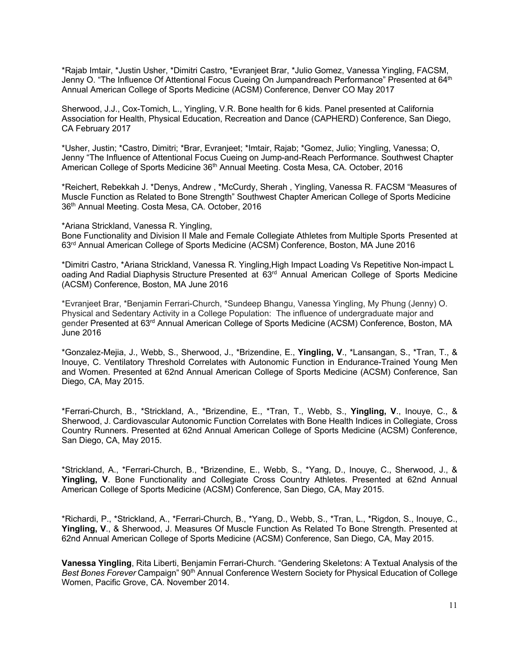\*Rajab Imtair, \*Justin Usher, \*Dimitri Castro, \*Evranjeet Brar, \*Julio Gomez, Vanessa Yingling, FACSM, Jenny O. "The Influence Of Attentional Focus Cueing On Jumpandreach Performance" Presented at 64<sup>th</sup> Annual American College of Sports Medicine (ACSM) Conference, Denver CO May 2017

Sherwood, J.J., Cox-Tomich, L., Yingling, V.R. Bone health for 6 kids. Panel presented at California Association for Health, Physical Education, Recreation and Dance (CAPHERD) Conference, San Diego, CA February 2017

\*Usher, Justin; \*Castro, Dimitri; \*Brar, Evranjeet; \*Imtair, Rajab; \*Gomez, Julio; Yingling, Vanessa; O, Jenny "The Influence of Attentional Focus Cueing on Jump-and-Reach Performance. Southwest Chapter American College of Sports Medicine 36<sup>th</sup> Annual Meeting. Costa Mesa, CA. October, 2016

\*Reichert, Rebekkah J. \*Denys, Andrew , \*McCurdy, Sherah , Yingling, Vanessa R. FACSM "Measures of Muscle Function as Related to Bone Strength" Southwest Chapter American College of Sports Medicine 36th Annual Meeting. Costa Mesa, CA. October, 2016

\*Ariana Strickland, Vanessa R. Yingling, Bone Functionality and Division II Male and Female Collegiate Athletes from Multiple Sports Presented at 63rd Annual American College of Sports Medicine (ACSM) Conference, Boston, MA June 2016

\*Dimitri Castro, \*Ariana Strickland, Vanessa R. Yingling,High Impact Loading Vs Repetitive Non-impact L oading And Radial Diaphysis Structure Presented at 63rd Annual American College of Sports Medicine (ACSM) Conference, Boston, MA June 2016

\*Evranjeet Brar, \*Benjamin Ferrari-Church, \*Sundeep Bhangu, Vanessa Yingling, My Phung (Jenny) O. Physical and Sedentary Activity in a College Population: The influence of undergraduate major and gender Presented at 63rd Annual American College of Sports Medicine (ACSM) Conference, Boston, MA June 2016

\*Gonzalez-Mejia, J., Webb, S., Sherwood, J., \*Brizendine, E., **Yingling, V**., \*Lansangan, S., \*Tran, T., & Inouye, C. Ventilatory Threshold Correlates with Autonomic Function in Endurance-Trained Young Men and Women. Presented at 62nd Annual American College of Sports Medicine (ACSM) Conference, San Diego, CA, May 2015.

\*Ferrari-Church, B., \*Strickland, A., \*Brizendine, E., \*Tran, T., Webb, S., **Yingling, V**., Inouye, C., & Sherwood, J. Cardiovascular Autonomic Function Correlates with Bone Health Indices in Collegiate, Cross Country Runners. Presented at 62nd Annual American College of Sports Medicine (ACSM) Conference, San Diego, CA, May 2015.

\*Strickland, A., \*Ferrari-Church, B., \*Brizendine, E., Webb, S., \*Yang, D., Inouye, C., Sherwood, J., & **Yingling, V**. Bone Functionality and Collegiate Cross Country Athletes. Presented at 62nd Annual American College of Sports Medicine (ACSM) Conference, San Diego, CA, May 2015.

\*Richardi, P., \*Strickland, A., \*Ferrari-Church, B., \*Yang, D., Webb, S., \*Tran, L., \*Rigdon, S., Inouye, C., **Yingling, V**., & Sherwood, J. Measures Of Muscle Function As Related To Bone Strength. Presented at 62nd Annual American College of Sports Medicine (ACSM) Conference, San Diego, CA, May 2015.

**Vanessa Yingling**, Rita Liberti, Benjamin Ferrari-Church. "Gendering Skeletons: A Textual Analysis of the *Best Bones Forever* Campaign" 90th Annual Conference Western Society for Physical Education of College Women, Pacific Grove, CA. November 2014.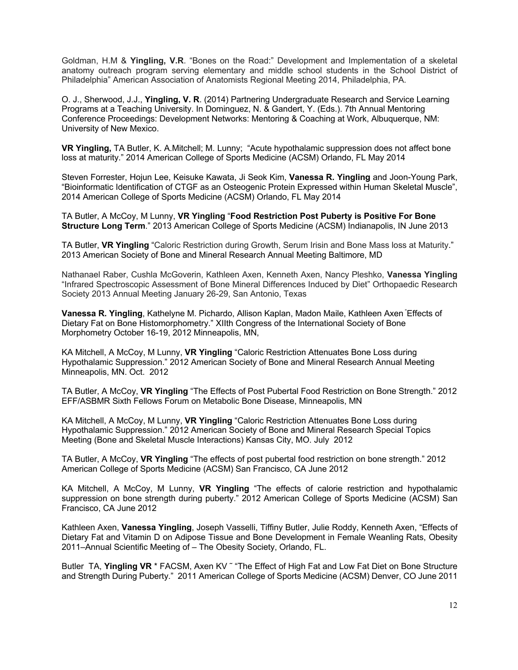Goldman, H.M & **Yingling, V.R**. "Bones on the Road:" Development and Implementation of a skeletal anatomy outreach program serving elementary and middle school students in the School District of Philadelphia" American Association of Anatomists Regional Meeting 2014, Philadelphia, PA.

O. J., Sherwood, J.J., **Yingling, V. R**. (2014) Partnering Undergraduate Research and Service Learning Programs at a Teaching University. In Dominguez, N. & Gandert, Y. (Eds.). 7th Annual Mentoring Conference Proceedings: Development Networks: Mentoring & Coaching at Work, Albuquerque, NM: University of New Mexico.

**VR Yingling,** TA Butler, K. A.Mitchell; M. Lunny; "Acute hypothalamic suppression does not affect bone loss at maturity." 2014 American College of Sports Medicine (ACSM) Orlando, FL May 2014

Steven Forrester, Hojun Lee, Keisuke Kawata, Ji Seok Kim, **Vanessa R. Yingling** and Joon-Young Park, "Bioinformatic Identification of CTGF as an Osteogenic Protein Expressed within Human Skeletal Muscle", 2014 American College of Sports Medicine (ACSM) Orlando, FL May 2014

TA Butler, A McCoy, M Lunny, **VR Yingling** "**Food Restriction Post Puberty is Positive For Bone Structure Long Term**." 2013 American College of Sports Medicine (ACSM) Indianapolis, IN June 2013

TA Butler, **VR Yingling** "Caloric Restriction during Growth, Serum Irisin and Bone Mass loss at Maturity." 2013 American Society of Bone and Mineral Research Annual Meeting Baltimore, MD

Nathanael Raber, Cushla McGoverin, Kathleen Axen, Kenneth Axen, Nancy Pleshko, **Vanessa Yingling** "Infrared Spectroscopic Assessment of Bone Mineral Differences Induced by Diet" Orthopaedic Research Society 2013 Annual Meeting January 26-29, San Antonio, Texas

**Vanessa R. Yingling**, Kathelyne M. Pichardo, Allison Kaplan, Madon Maile, Kathleen Axen " Effects of Dietary Fat on Bone Histomorphometry." XIIth Congress of the International Society of Bone Morphometry October 16-19, 2012 Minneapolis, MN,

KA Mitchell, A McCoy, M Lunny, **VR Yingling** "Caloric Restriction Attenuates Bone Loss during Hypothalamic Suppression." 2012 American Society of Bone and Mineral Research Annual Meeting Minneapolis, MN. Oct. 2012

TA Butler, A McCoy, **VR Yingling** "The Effects of Post Pubertal Food Restriction on Bone Strength." 2012 EFF/ASBMR Sixth Fellows Forum on Metabolic Bone Disease, Minneapolis, MN

KA Mitchell, A McCoy, M Lunny, **VR Yingling** "Caloric Restriction Attenuates Bone Loss during Hypothalamic Suppression." 2012 American Society of Bone and Mineral Research Special Topics Meeting (Bone and Skeletal Muscle Interactions) Kansas City, MO. July 2012

TA Butler, A McCoy, **VR Yingling** "The effects of post pubertal food restriction on bone strength." 2012 American College of Sports Medicine (ACSM) San Francisco, CA June 2012

KA Mitchell, A McCoy, M Lunny, **VR Yingling** "The effects of calorie restriction and hypothalamic suppression on bone strength during puberty." 2012 American College of Sports Medicine (ACSM) San Francisco, CA June 2012

Kathleen Axen, **Vanessa Yingling**, Joseph Vasselli, Tiffiny Butler, Julie Roddy, Kenneth Axen, "Effects of Dietary Fat and Vitamin D on Adipose Tissue and Bone Development in Female Weanling Rats, Obesity 2011–Annual Scientific Meeting of – The Obesity Society, Orlando, FL.

Butler TA, Yingling VR<sup>\*</sup> FACSM, Axen KV<sup>"</sup> "The Effect of High Fat and Low Fat Diet on Bone Structure and Strength During Puberty." 2011 American College of Sports Medicine (ACSM) Denver, CO June 2011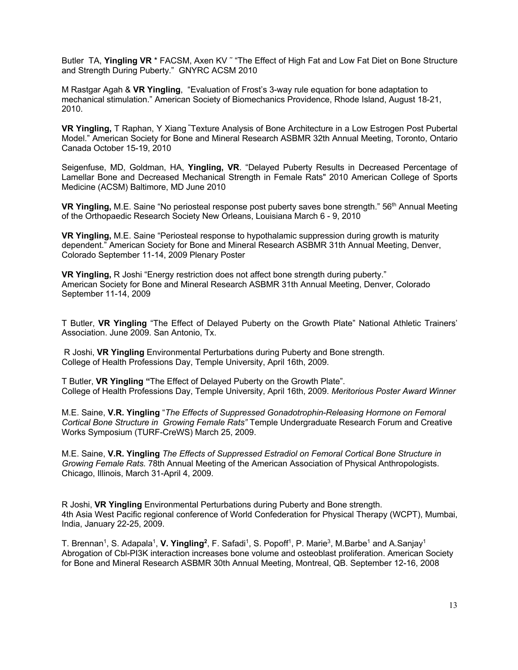Butler TA, Yingling VR<sup>\*</sup> FACSM, Axen KV<sup>"</sup> "The Effect of High Fat and Low Fat Diet on Bone Structure and Strength During Puberty." GNYRC ACSM 2010

M Rastgar Agah & **VR Yingling**, "Evaluation of Frost's 3-way rule equation for bone adaptation to mechanical stimulation." American Society of Biomechanics Providence, Rhode Island, August 18-21, 2010.

**VR Yingling,** T Raphan, Y Xiang "Texture Analysis of Bone Architecture in a Low Estrogen Post Pubertal Model." American Society for Bone and Mineral Research ASBMR 32th Annual Meeting, Toronto, Ontario Canada October 15-19, 2010

Seigenfuse, MD, Goldman, HA, **Yingling, VR**. "Delayed Puberty Results in Decreased Percentage of Lamellar Bone and Decreased Mechanical Strength in Female Rats" 2010 American College of Sports Medicine (ACSM) Baltimore, MD June 2010

**VR Yingling,** M.E. Saine "No periosteal response post puberty saves bone strength." 56<sup>th</sup> Annual Meeting of the Orthopaedic Research Society New Orleans, Louisiana March 6 - 9, 2010

**VR Yingling,** M.E. Saine "Periosteal response to hypothalamic suppression during growth is maturity dependent." American Society for Bone and Mineral Research ASBMR 31th Annual Meeting, Denver, Colorado September 11-14, 2009 Plenary Poster

**VR Yingling,** R Joshi "Energy restriction does not affect bone strength during puberty." American Society for Bone and Mineral Research ASBMR 31th Annual Meeting, Denver, Colorado September 11-14, 2009

T Butler, **VR Yingling** "The Effect of Delayed Puberty on the Growth Plate" National Athletic Trainers' Association. June 2009. San Antonio, Tx.

R Joshi, **VR Yingling** Environmental Perturbations during Puberty and Bone strength. College of Health Professions Day, Temple University, April 16th, 2009.

T Butler, **VR Yingling "**The Effect of Delayed Puberty on the Growth Plate". College of Health Professions Day, Temple University, April 16th, 2009. *Meritorious Poster Award Winner*

M.E. Saine, **V.R. Yingling** "*The Effects of Suppressed Gonadotrophin-Releasing Hormone on Femoral Cortical Bone Structure in Growing Female Rats"* Temple Undergraduate Research Forum and Creative Works Symposium (TURF-CreWS) March 25, 2009.

M.E. Saine, **V.R. Yingling** *The Effects of Suppressed Estradiol on Femoral Cortical Bone Structure in Growing Female Rats.* 78th Annual Meeting of the American Association of Physical Anthropologists. Chicago, Illinois, March 31-April 4, 2009.

R Joshi, **VR Yingling** Environmental Perturbations during Puberty and Bone strength. 4th Asia West Pacific regional conference of World Confederation for Physical Therapy (WCPT), Mumbai, India, January 22-25, 2009.

T. Brennan<sup>1</sup>, S. Adapala<sup>1</sup>, **V. Yingling<sup>2</sup>**, F. Safadi<sup>1</sup>, S. Popoff<sup>1</sup>, P. Marie<sup>3</sup>, M.Barbe<sup>1</sup> and A.Sanjay<sup>1</sup> Abrogation of Cbl-PI3K interaction increases bone volume and osteoblast proliferation. American Society for Bone and Mineral Research ASBMR 30th Annual Meeting, Montreal, QB. September 12-16, 2008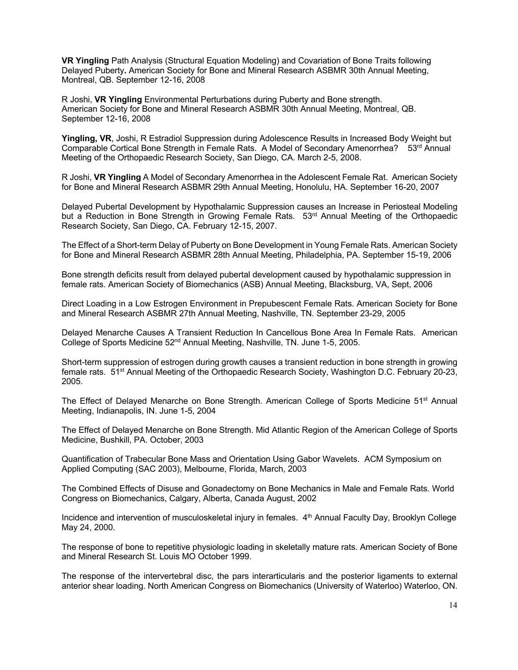**VR Yingling** Path Analysis (Structural Equation Modeling) and Covariation of Bone Traits following Delayed Puberty**.** American Society for Bone and Mineral Research ASBMR 30th Annual Meeting, Montreal, QB. September 12-16, 2008

R Joshi, **VR Yingling** Environmental Perturbations during Puberty and Bone strength. American Society for Bone and Mineral Research ASBMR 30th Annual Meeting, Montreal, QB. September 12-16, 2008

**Yingling, VR**, Joshi, R Estradiol Suppression during Adolescence Results in Increased Body Weight but Comparable Cortical Bone Strength in Female Rats. A Model of Secondary Amenorrhea? 53rd Annual Meeting of the Orthopaedic Research Society, San Diego, CA. March 2-5, 2008.

R Joshi, **VR Yingling** A Model of Secondary Amenorrhea in the Adolescent Female Rat. American Society for Bone and Mineral Research ASBMR 29th Annual Meeting, Honolulu, HA. September 16-20, 2007

Delayed Pubertal Development by Hypothalamic Suppression causes an Increase in Periosteal Modeling but a Reduction in Bone Strength in Growing Female Rats. 53<sup>rd</sup> Annual Meeting of the Orthopaedic Research Society, San Diego, CA. February 12-15, 2007.

The Effect of a Short-term Delay of Puberty on Bone Development in Young Female Rats. American Society for Bone and Mineral Research ASBMR 28th Annual Meeting, Philadelphia, PA. September 15-19, 2006

Bone strength deficits result from delayed pubertal development caused by hypothalamic suppression in female rats. American Society of Biomechanics (ASB) Annual Meeting, Blacksburg, VA, Sept, 2006

Direct Loading in a Low Estrogen Environment in Prepubescent Female Rats. American Society for Bone and Mineral Research ASBMR 27th Annual Meeting, Nashville, TN. September 23-29, 2005

Delayed Menarche Causes A Transient Reduction In Cancellous Bone Area In Female Rats. American College of Sports Medicine 52nd Annual Meeting, Nashville, TN. June 1-5, 2005.

Short-term suppression of estrogen during growth causes a transient reduction in bone strength in growing female rats. 51st Annual Meeting of the Orthopaedic Research Society, Washington D.C. February 20-23, 2005.

The Effect of Delayed Menarche on Bone Strength. American College of Sports Medicine 51<sup>st</sup> Annual Meeting, Indianapolis, IN. June 1-5, 2004

The Effect of Delayed Menarche on Bone Strength. Mid Atlantic Region of the American College of Sports Medicine, Bushkill, PA. October, 2003

Quantification of Trabecular Bone Mass and Orientation Using Gabor Wavelets. ACM Symposium on Applied Computing (SAC 2003), Melbourne, Florida, March, 2003

The Combined Effects of Disuse and Gonadectomy on Bone Mechanics in Male and Female Rats. World Congress on Biomechanics, Calgary, Alberta, Canada August, 2002

Incidence and intervention of musculoskeletal injury in females. 4<sup>th</sup> Annual Faculty Day, Brooklyn College May 24, 2000.

The response of bone to repetitive physiologic loading in skeletally mature rats. American Society of Bone and Mineral Research St. Louis MO October 1999.

The response of the intervertebral disc, the pars interarticularis and the posterior ligaments to external anterior shear loading. North American Congress on Biomechanics (University of Waterloo) Waterloo, ON.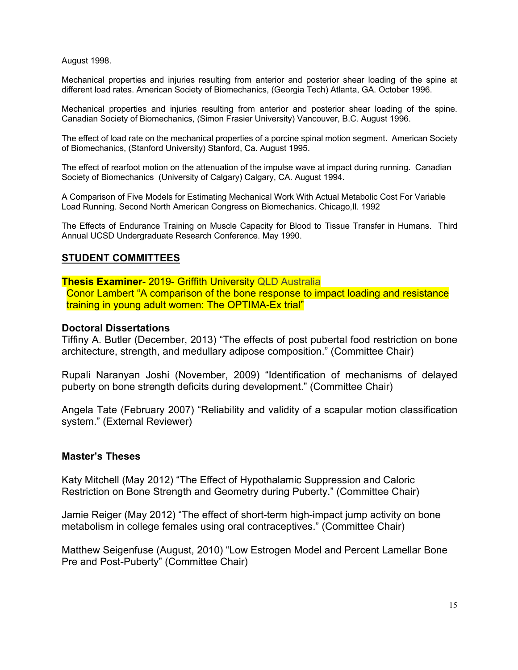August 1998.

Mechanical properties and injuries resulting from anterior and posterior shear loading of the spine at different load rates. American Society of Biomechanics, (Georgia Tech) Atlanta, GA. October 1996.

Mechanical properties and injuries resulting from anterior and posterior shear loading of the spine. Canadian Society of Biomechanics, (Simon Frasier University) Vancouver, B.C. August 1996.

The effect of load rate on the mechanical properties of a porcine spinal motion segment. American Society of Biomechanics, (Stanford University) Stanford, Ca. August 1995.

The effect of rearfoot motion on the attenuation of the impulse wave at impact during running. Canadian Society of Biomechanics (University of Calgary) Calgary, CA. August 1994.

A Comparison of Five Models for Estimating Mechanical Work With Actual Metabolic Cost For Variable Load Running. Second North American Congress on Biomechanics. Chicago,Il. 1992

The Effects of Endurance Training on Muscle Capacity for Blood to Tissue Transfer in Humans. Third Annual UCSD Undergraduate Research Conference. May 1990.

# **STUDENT COMMITTEES**

**Thesis Examiner**- 2019- Griffith University QLD Australia Conor Lambert "A comparison of the bone response to impact loading and resistance training in young adult women: The OPTIMA-Ex trial"

### **Doctoral Dissertations**

Tiffiny A. Butler (December, 2013) "The effects of post pubertal food restriction on bone architecture, strength, and medullary adipose composition." (Committee Chair)

Rupali Naranyan Joshi (November, 2009) "Identification of mechanisms of delayed puberty on bone strength deficits during development." (Committee Chair)

Angela Tate (February 2007) "Reliability and validity of a scapular motion classification system." (External Reviewer)

### **Master's Theses**

Katy Mitchell (May 2012) "The Effect of Hypothalamic Suppression and Caloric Restriction on Bone Strength and Geometry during Puberty." (Committee Chair)

Jamie Reiger (May 2012) "The effect of short-term high-impact jump activity on bone metabolism in college females using oral contraceptives." (Committee Chair)

Matthew Seigenfuse (August, 2010) "Low Estrogen Model and Percent Lamellar Bone Pre and Post-Puberty" (Committee Chair)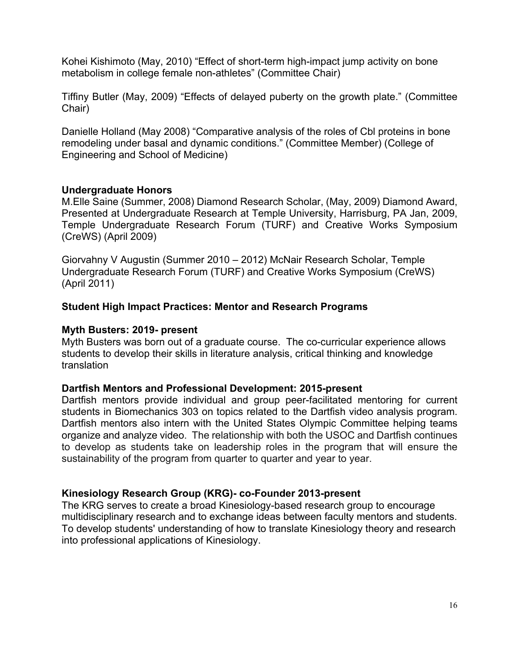Kohei Kishimoto (May, 2010) "Effect of short-term high-impact jump activity on bone metabolism in college female non-athletes" (Committee Chair)

Tiffiny Butler (May, 2009) "Effects of delayed puberty on the growth plate." (Committee Chair)

Danielle Holland (May 2008) "Comparative analysis of the roles of Cbl proteins in bone remodeling under basal and dynamic conditions." (Committee Member) (College of Engineering and School of Medicine)

# **Undergraduate Honors**

M.Elle Saine (Summer, 2008) Diamond Research Scholar, (May, 2009) Diamond Award, Presented at Undergraduate Research at Temple University, Harrisburg, PA Jan, 2009, Temple Undergraduate Research Forum (TURF) and Creative Works Symposium (CreWS) (April 2009)

Giorvahny V Augustin (Summer 2010 – 2012) McNair Research Scholar, Temple Undergraduate Research Forum (TURF) and Creative Works Symposium (CreWS) (April 2011)

# **Student High Impact Practices: Mentor and Research Programs**

# **Myth Busters: 2019- present**

Myth Busters was born out of a graduate course. The co-curricular experience allows students to develop their skills in literature analysis, critical thinking and knowledge translation

# **Dartfish Mentors and Professional Development: 2015-present**

Dartfish mentors provide individual and group peer-facilitated mentoring for current students in Biomechanics 303 on topics related to the Dartfish video analysis program. Dartfish mentors also intern with the United States Olympic Committee helping teams organize and analyze video. The relationship with both the USOC and Dartfish continues to develop as students take on leadership roles in the program that will ensure the sustainability of the program from quarter to quarter and year to year.

# **Kinesiology Research Group (KRG)- co-Founder 2013-present**

The KRG serves to create a broad Kinesiology-based research group to encourage multidisciplinary research and to exchange ideas between faculty mentors and students. To develop students' understanding of how to translate Kinesiology theory and research into professional applications of Kinesiology.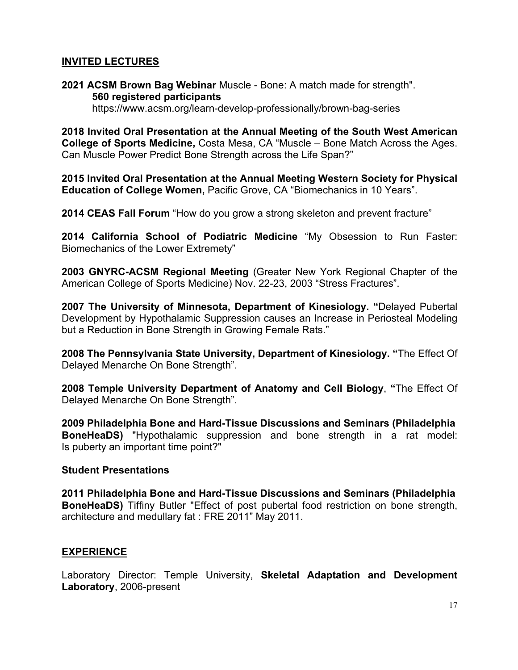# **INVITED LECTURES**

**2021 ACSM Brown Bag Webinar** Muscle - Bone: A match made for strength". **560 registered participants**

https://www.acsm.org/learn-develop-professionally/brown-bag-series

**2018 Invited Oral Presentation at the Annual Meeting of the South West American College of Sports Medicine,** Costa Mesa, CA "Muscle – Bone Match Across the Ages. Can Muscle Power Predict Bone Strength across the Life Span?"

**2015 Invited Oral Presentation at the Annual Meeting Western Society for Physical Education of College Women,** Pacific Grove, CA "Biomechanics in 10 Years".

**2014 CEAS Fall Forum** "How do you grow a strong skeleton and prevent fracture"

**2014 California School of Podiatric Medicine** "My Obsession to Run Faster: Biomechanics of the Lower Extremety"

**2003 GNYRC-ACSM Regional Meeting** (Greater New York Regional Chapter of the American College of Sports Medicine) Nov. 22-23, 2003 "Stress Fractures".

**2007 The University of Minnesota, Department of Kinesiology. "**Delayed Pubertal Development by Hypothalamic Suppression causes an Increase in Periosteal Modeling but a Reduction in Bone Strength in Growing Female Rats."

**2008 The Pennsylvania State University, Department of Kinesiology. "**The Effect Of Delayed Menarche On Bone Strength".

**2008 Temple University Department of Anatomy and Cell Biology**, **"**The Effect Of Delayed Menarche On Bone Strength".

**2009 Philadelphia Bone and Hard-Tissue Discussions and Seminars (Philadelphia BoneHeaDS)** "Hypothalamic suppression and bone strength in a rat model: Is puberty an important time point?"

### **Student Presentations**

**2011 Philadelphia Bone and Hard-Tissue Discussions and Seminars (Philadelphia BoneHeaDS)** Tiffiny Butler "Effect of post pubertal food restriction on bone strength, architecture and medullary fat : FRE 2011" May 2011.

# **EXPERIENCE**

Laboratory Director: Temple University, **Skeletal Adaptation and Development Laboratory**, 2006-present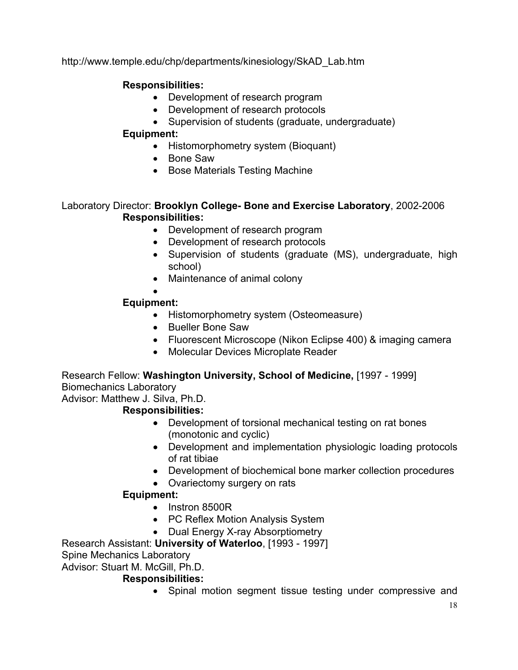http://www.temple.edu/chp/departments/kinesiology/SkAD\_Lab.htm

# **Responsibilities:**

- Development of research program
- Development of research protocols
- Supervision of students (graduate, undergraduate)

# **Equipment:**

- Histomorphometry system (Bioquant)
- Bone Saw
- Bose Materials Testing Machine

# Laboratory Director: **Brooklyn College- Bone and Exercise Laboratory**, 2002-2006 **Responsibilities:**

- Development of research program
- Development of research protocols
- Supervision of students (graduate (MS), undergraduate, high school)
- Maintenance of animal colony

#### • **Equipment:**

- Histomorphometry system (Osteomeasure)
- Bueller Bone Saw
- Fluorescent Microscope (Nikon Eclipse 400) & imaging camera
- Molecular Devices Microplate Reader

Research Fellow: **Washington University, School of Medicine,** [1997 - 1999] Biomechanics Laboratory

Advisor: Matthew J. Silva, Ph.D.

# **Responsibilities:**

- Development of torsional mechanical testing on rat bones (monotonic and cyclic)
- Development and implementation physiologic loading protocols of rat tibiae
- Development of biochemical bone marker collection procedures
- Ovariectomy surgery on rats

# **Equipment:**

- Instron 8500R
- PC Reflex Motion Analysis System
- Dual Energy X-ray Absorptiometry

Research Assistant: **University of Waterloo**, [1993 - 1997]

# Spine Mechanics Laboratory

Advisor: Stuart M. McGill, Ph.D.

# **Responsibilities:**

• Spinal motion segment tissue testing under compressive and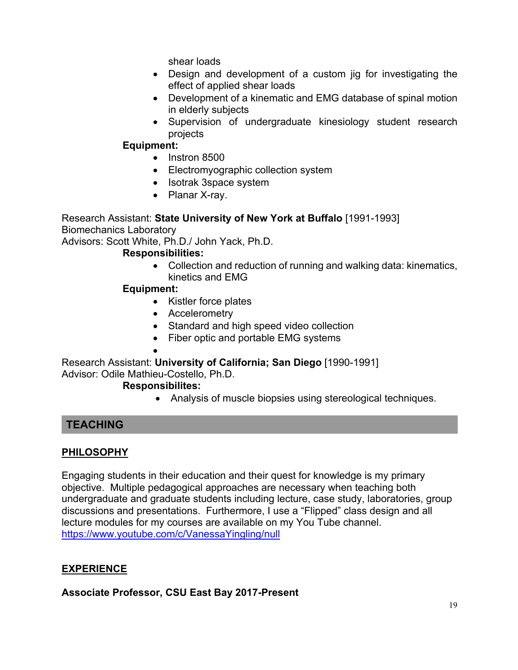shear loads

- Design and development of a custom jig for investigating the effect of applied shear loads
- Development of a kinematic and EMG database of spinal motion in elderly subjects
- Supervision of undergraduate kinesiology student research projects

# **Equipment:**

- Instron 8500
- Electromyographic collection system
- Isotrak 3space system
- Planar X-ray.

# Research Assistant: **State University of New York at Buffalo** [1991-1993]

Biomechanics Laboratory

Advisors: Scott White, Ph.D./ John Yack, Ph.D.

# **Responsibilities:**

• Collection and reduction of running and walking data: kinematics, kinetics and EMG

# **Equipment:**

- Kistler force plates
- Accelerometry
- Standard and high speed video collection
- Fiber optic and portable EMG systems
- •

Research Assistant: **University of California; San Diego** [1990-1991] Advisor: Odile Mathieu-Costello, Ph.D.

# **Responsibilites:**

• Analysis of muscle biopsies using stereological techniques.

# **TEACHING**

# **PHILOSOPHY**

Engaging students in their education and their quest for knowledge is my primary objective. Multiple pedagogical approaches are necessary when teaching both undergraduate and graduate students including lecture, case study, laboratories, group discussions and presentations. Furthermore, I use a "Flipped" class design and all lecture modules for my courses are available on my You Tube channel. https://www.youtube.com/c/VanessaYingling/null

# **EXPERIENCE**

**Associate Professor, CSU East Bay 2017-Present**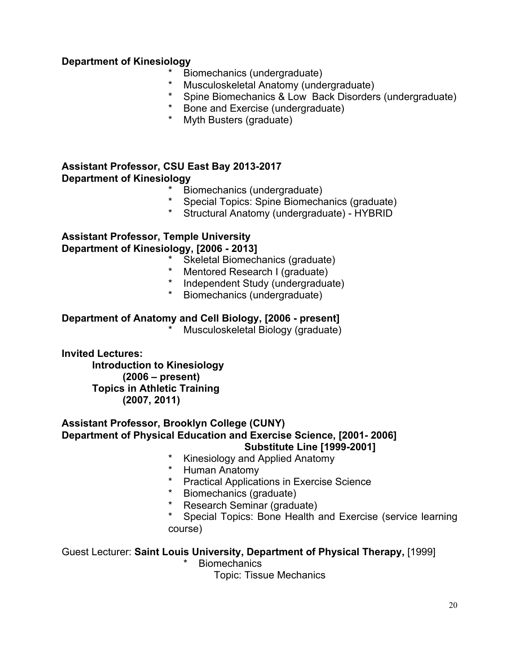# **Department of Kinesiology**

- Biomechanics (undergraduate)
- Musculoskeletal Anatomy (undergraduate)
- \* Spine Biomechanics & Low Back Disorders (undergraduate)
- Bone and Exercise (undergraduate)
- \* Myth Busters (graduate)

# **Assistant Professor, CSU East Bay 2013-2017 Department of Kinesiology**

- \* Biomechanics (undergraduate)<br>\* Special Tonics: Snine Biomechi
- Special Topics: Spine Biomechanics (graduate)
- \* Structural Anatomy (undergraduate) HYBRID

# **Assistant Professor, Temple University Department of Kinesiology, [2006 - 2013]**

- Skeletal Biomechanics (graduate)
- Mentored Research I (graduate)
- \* Independent Study (undergraduate)
- \* Biomechanics (undergraduate)

# **Department of Anatomy and Cell Biology, [2006 - present]**

Musculoskeletal Biology (graduate)

**Invited Lectures:** 

**Introduction to Kinesiology (2006 – present) Topics in Athletic Training (2007, 2011)**

#### **Assistant Professor, Brooklyn College (CUNY) Department of Physical Education and Exercise Science, [2001- 2006] Substitute Line [1999-2001]**

- Kinesiology and Applied Anatomy
- \* Human Anatomy
- **Practical Applications in Exercise Science**
- \* Biomechanics (graduate)
- Research Seminar (graduate)
- Special Topics: Bone Health and Exercise (service learning course)

# Guest Lecturer: **Saint Louis University, Department of Physical Therapy,** [1999]

**Biomechanics** 

Topic: Tissue Mechanics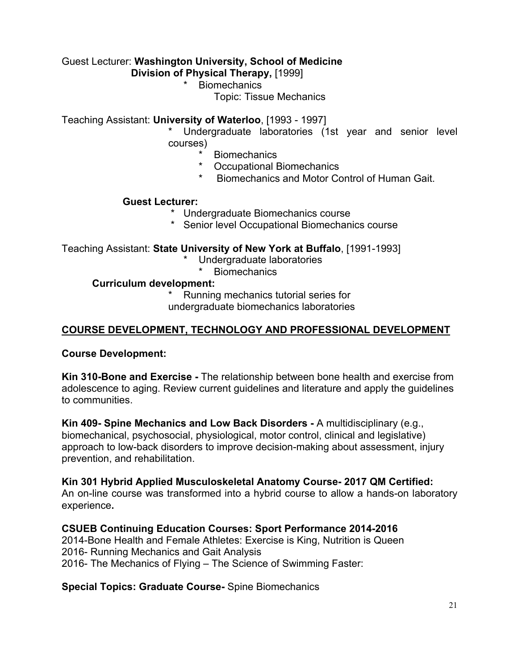# Guest Lecturer: **Washington University, School of Medicine**

 **Division of Physical Therapy,** [1999]

**Biomechanics** 

Topic: Tissue Mechanics

Teaching Assistant: **University of Waterloo**, [1993 - 1997]

Undergraduate laboratories (1st year and senior level courses)

- \* Biomechanics<br>\* Cocupational F
- **Occupational Biomechanics**
- Biomechanics and Motor Control of Human Gait.

# **Guest Lecturer:**

- \* Undergraduate Biomechanics course
- Senior level Occupational Biomechanics course

Teaching Assistant: **State University of New York at Buffalo**, [1991-1993]

- \* Undergraduate laboratories
	- **Biomechanics**

### **Curriculum development:**

Running mechanics tutorial series for

undergraduate biomechanics laboratories

# **COURSE DEVELOPMENT, TECHNOLOGY AND PROFESSIONAL DEVELOPMENT**

**Course Development:**

**Kin 310-Bone and Exercise -** The relationship between bone health and exercise from adolescence to aging. Review current guidelines and literature and apply the guidelines to communities.

**Kin 409- Spine Mechanics and Low Back Disorders -** A multidisciplinary (e.g., biomechanical, psychosocial, physiological, motor control, clinical and legislative) approach to low-back disorders to improve decision-making about assessment, injury prevention, and rehabilitation.

# **Kin 301 Hybrid Applied Musculoskeletal Anatomy Course- 2017 QM Certified:**

An on-line course was transformed into a hybrid course to allow a hands-on laboratory experience**.**

# **CSUEB Continuing Education Courses: Sport Performance 2014-2016**

2014-Bone Health and Female Athletes: Exercise is King, Nutrition is Queen 2016- Running Mechanics and Gait Analysis 2016- The Mechanics of Flying – The Science of Swimming Faster:

### **Special Topics: Graduate Course-** Spine Biomechanics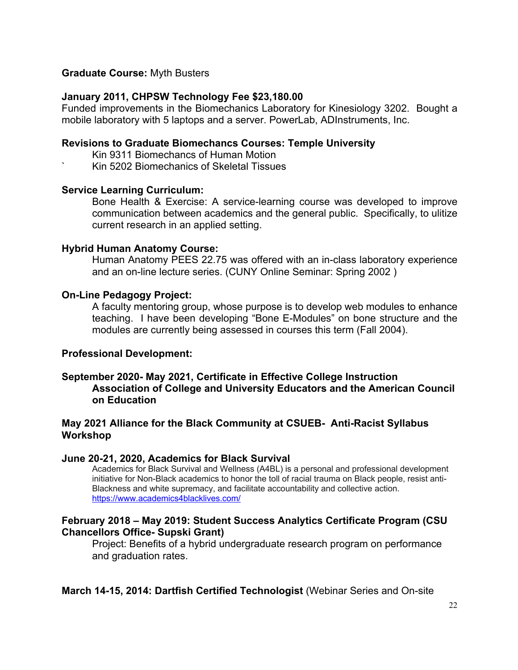### **Graduate Course:** Myth Busters

### **January 2011, CHPSW Technology Fee \$23,180.00**

Funded improvements in the Biomechanics Laboratory for Kinesiology 3202. Bought a mobile laboratory with 5 laptops and a server. PowerLab, ADInstruments, Inc.

### **Revisions to Graduate Biomechancs Courses: Temple University**

- Kin 9311 Biomechancs of Human Motion
- ` Kin 5202 Biomechanics of Skeletal Tissues

#### **Service Learning Curriculum:**

Bone Health & Exercise: A service-learning course was developed to improve communication between academics and the general public. Specifically, to ulitize current research in an applied setting.

#### **Hybrid Human Anatomy Course:**

Human Anatomy PEES 22.75 was offered with an in-class laboratory experience and an on-line lecture series. (CUNY Online Seminar: Spring 2002 )

#### **On-Line Pedagogy Project:**

A faculty mentoring group, whose purpose is to develop web modules to enhance teaching. I have been developing "Bone E-Modules" on bone structure and the modules are currently being assessed in courses this term (Fall 2004).

### **Professional Development:**

### **September 2020- May 2021, Certificate in Effective College Instruction Association of College and University Educators and the American Council on Education**

# **May 2021 Alliance for the Black Community at CSUEB- Anti-Racist Syllabus Workshop**

#### **June 20-21, 2020, Academics for Black Survival**

Academics for Black Survival and Wellness (A4BL) is a personal and professional development initiative for Non-Black academics to honor the toll of racial trauma on Black people, resist anti-Blackness and white supremacy, and facilitate accountability and collective action. https://www.academics4blacklives.com/

### **February 2018 – May 2019: Student Success Analytics Certificate Program (CSU Chancellors Office- Supski Grant)**

Project: Benefits of a hybrid undergraduate research program on performance and graduation rates.

**March 14-15, 2014: Dartfish Certified Technologist** (Webinar Series and On-site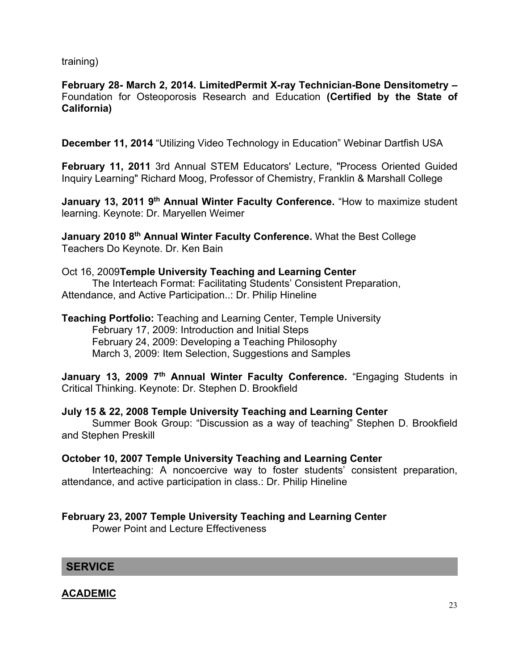training)

**February 28- March 2, 2014. LimitedPermit X-ray Technician-Bone Densitometry –** Foundation for Osteoporosis Research and Education **(Certified by the State of California)**

**December 11, 2014** "Utilizing Video Technology in Education" Webinar Dartfish USA

**February 11, 2011** 3rd Annual STEM Educators' Lecture, "Process Oriented Guided Inquiry Learning" Richard Moog, Professor of Chemistry, Franklin & Marshall College

**January 13, 2011 9<sup>th</sup> Annual Winter Faculty Conference.** "How to maximize student learning. Keynote: Dr. Maryellen Weimer

**January 2010 8th Annual Winter Faculty Conference.** What the Best College Teachers Do Keynote. Dr. Ken Bain

### Oct 16, 2009**Temple University Teaching and Learning Center** The Interteach Format: Facilitating Students' Consistent Preparation, Attendance, and Active Participation..: Dr. Philip Hineline

**Teaching Portfolio:** Teaching and Learning Center, Temple University February 17, 2009: Introduction and Initial Steps February 24, 2009: Developing a Teaching Philosophy March 3, 2009: Item Selection, Suggestions and Samples

January 13, 2009 7<sup>th</sup> Annual Winter Faculty Conference. "Engaging Students in Critical Thinking. Keynote: Dr. Stephen D. Brookfield

# **July 15 & 22, 2008 Temple University Teaching and Learning Center**

Summer Book Group: "Discussion as a way of teaching" Stephen D. Brookfield and Stephen Preskill

# **October 10, 2007 Temple University Teaching and Learning Center**

Interteaching: A noncoercive way to foster students' consistent preparation, attendance, and active participation in class.: Dr. Philip Hineline

# **February 23, 2007 Temple University Teaching and Learning Center**

Power Point and Lecture Effectiveness

**SERVICE**

**ACADEMIC**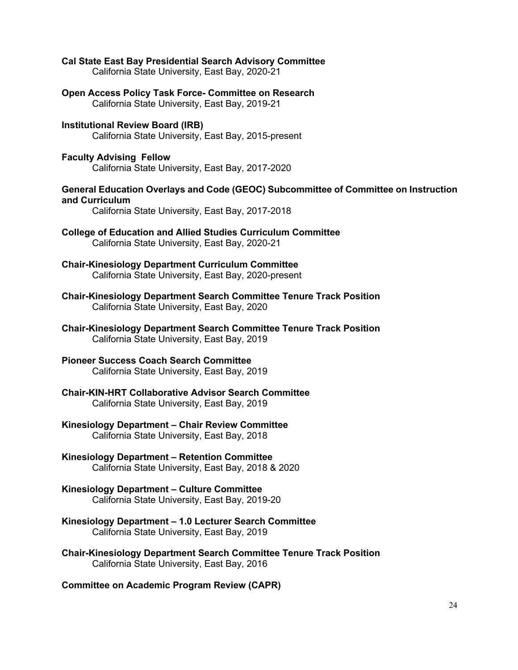**Cal State East Bay Presidential Search Advisory Committee** California State University, East Bay, 2020-21

**Open Access Policy Task Force- Committee on Research** California State University, East Bay, 2019-21

**Institutional Review Board (IRB)** California State University, East Bay, 2015-present

**Faculty Advising Fellow**  California State University, East Bay, 2017-2020

#### **General Education Overlays and Code (GEOC) Subcommittee of Committee on Instruction and Curriculum**

California State University, East Bay, 2017-2018

**College of Education and Allied Studies Curriculum Committee** California State University, East Bay, 2020-21

**Chair-Kinesiology Department Curriculum Committee**  California State University, East Bay, 2020-present

**Chair-Kinesiology Department Search Committee Tenure Track Position** California State University, East Bay, 2020

**Chair-Kinesiology Department Search Committee Tenure Track Position** California State University, East Bay, 2019

# **Pioneer Success Coach Search Committee**

California State University, East Bay, 2019

**Chair-KIN-HRT Collaborative Advisor Search Committee** California State University, East Bay, 2019

#### **Kinesiology Department – Chair Review Committee** California State University, East Bay, 2018

**Kinesiology Department – Retention Committee** California State University, East Bay, 2018 & 2020

# **Kinesiology Department – Culture Committee**

California State University, East Bay, 2019-20

- **Kinesiology Department – 1.0 Lecturer Search Committee** California State University, East Bay, 2019
- **Chair-Kinesiology Department Search Committee Tenure Track Position** California State University, East Bay, 2016

**Committee on Academic Program Review (CAPR)**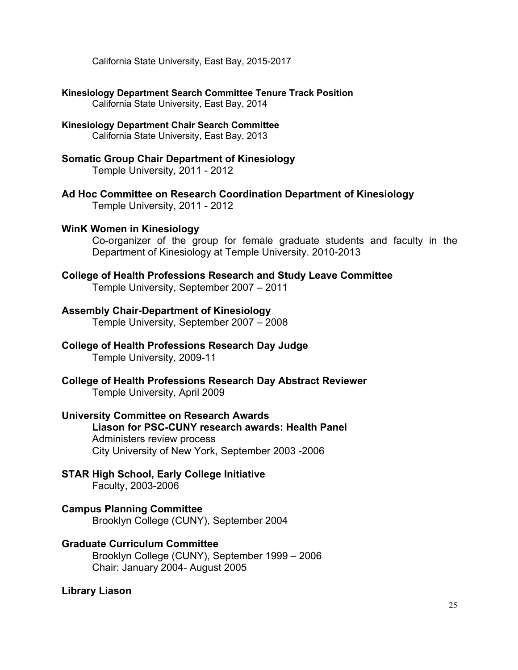California State University, East Bay, 2015-2017

- **Kinesiology Department Search Committee Tenure Track Position** California State University, East Bay, 2014
- **Kinesiology Department Chair Search Committee** California State University, East Bay, 2013
- **Somatic Group Chair Department of Kinesiology** Temple University, 2011 - 2012
- **Ad Hoc Committee on Research Coordination Department of Kinesiology** Temple University, 2011 - 2012
- **WinK Women in Kinesiology**

Co-organizer of the group for female graduate students and faculty in the Department of Kinesiology at Temple University. 2010-2013

**College of Health Professions Research and Study Leave Committee**

Temple University, September 2007 – 2011

### **Assembly Chair-Department of Kinesiology**

Temple University, September 2007 – 2008

- **College of Health Professions Research Day Judge** Temple University, 2009-11
- **College of Health Professions Research Day Abstract Reviewer** Temple University, April 2009
- **University Committee on Research Awards Liason for PSC-CUNY research awards: Health Panel**  Administers review process City University of New York, September 2003 -2006
- **STAR High School, Early College Initiative** Faculty, 2003-2006
- **Campus Planning Committee** Brooklyn College (CUNY), September 2004
- **Graduate Curriculum Committee** Brooklyn College (CUNY), September 1999 – 2006 Chair: January 2004- August 2005

**Library Liason**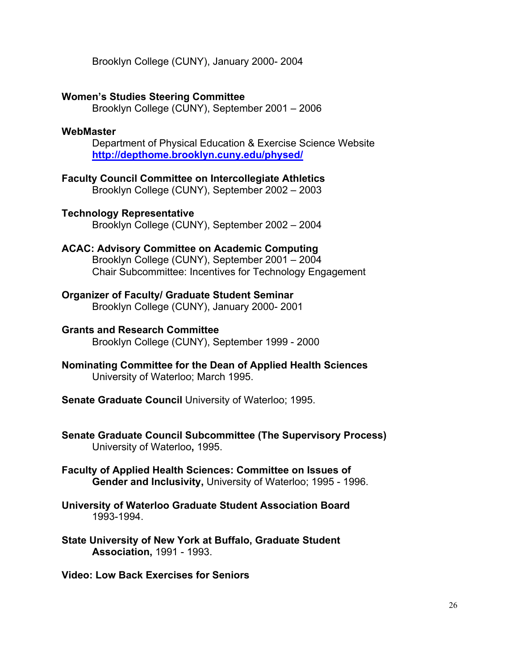Brooklyn College (CUNY), January 2000- 2004

### **Women's Studies Steering Committee**

Brooklyn College (CUNY), September 2001 – 2006

### **WebMaster**

Department of Physical Education & Exercise Science Website **http://depthome.brooklyn.cuny.edu/physed/**

- **Faculty Council Committee on Intercollegiate Athletics** Brooklyn College (CUNY), September 2002 – 2003
- **Technology Representative**  Brooklyn College (CUNY), September 2002 – 2004

### **ACAC: Advisory Committee on Academic Computing**

Brooklyn College (CUNY), September 2001 – 2004 Chair Subcommittee: Incentives for Technology Engagement

**Organizer of Faculty/ Graduate Student Seminar** Brooklyn College (CUNY), January 2000- 2001

#### **Grants and Research Committee** Brooklyn College (CUNY), September 1999 - 2000

- **Nominating Committee for the Dean of Applied Health Sciences** University of Waterloo; March 1995.
- **Senate Graduate Council** University of Waterloo; 1995.
- **Senate Graduate Council Subcommittee (The Supervisory Process)** University of Waterloo**,** 1995.
- **Faculty of Applied Health Sciences: Committee on Issues of Gender and Inclusivity,** University of Waterloo; 1995 - 1996.
- **University of Waterloo Graduate Student Association Board**  1993-1994.
- **State University of New York at Buffalo, Graduate Student Association,** 1991 - 1993.

**Video: Low Back Exercises for Seniors**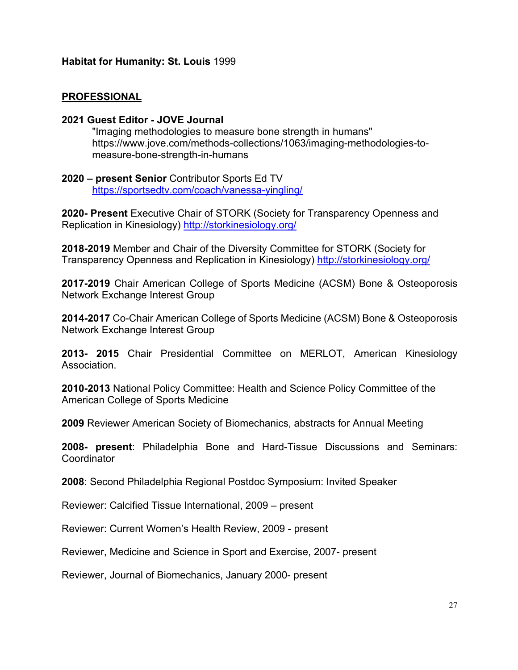# **PROFESSIONAL**

### **2021 Guest Editor - JOVE Journal**

"Imaging methodologies to measure bone strength in humans" https://www.jove.com/methods-collections/1063/imaging-methodologies-tomeasure-bone-strength-in-humans

### **2020 – present Senior** Contributor Sports Ed TV https://sportsedtv.com/coach/vanessa-yingling/

**2020- Present** Executive Chair of STORK (Society for Transparency Openness and Replication in Kinesiology) http://storkinesiology.org/

**2018-2019** Member and Chair of the Diversity Committee for STORK (Society for Transparency Openness and Replication in Kinesiology) http://storkinesiology.org/

**2017-2019** Chair American College of Sports Medicine (ACSM) Bone & Osteoporosis Network Exchange Interest Group

**2014-2017** Co-Chair American College of Sports Medicine (ACSM) Bone & Osteoporosis Network Exchange Interest Group

**2013- 2015** Chair Presidential Committee on MERLOT, American Kinesiology Association.

**2010-2013** National Policy Committee: Health and Science Policy Committee of the American College of Sports Medicine

**2009** Reviewer American Society of Biomechanics, abstracts for Annual Meeting

**2008- present**: Philadelphia Bone and Hard-Tissue Discussions and Seminars: **Coordinator** 

**2008**: Second Philadelphia Regional Postdoc Symposium: Invited Speaker

Reviewer: Calcified Tissue International, 2009 – present

Reviewer: Current Women's Health Review, 2009 - present

Reviewer, Medicine and Science in Sport and Exercise, 2007- present

Reviewer, Journal of Biomechanics, January 2000- present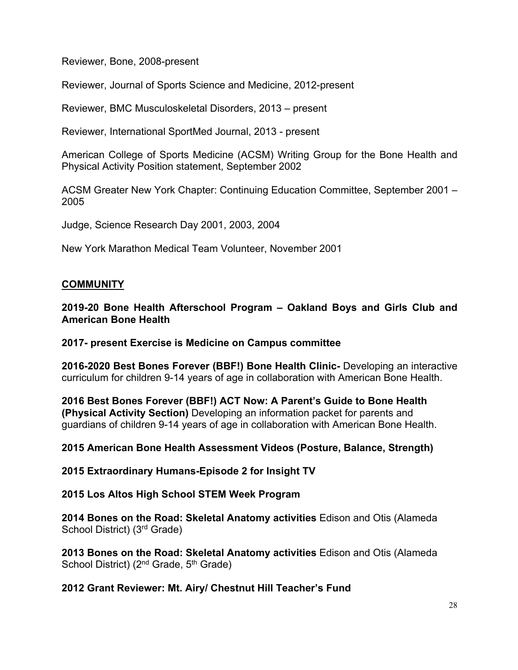Reviewer, Bone, 2008-present

Reviewer, Journal of Sports Science and Medicine, 2012-present

Reviewer, BMC Musculoskeletal Disorders, 2013 – present

Reviewer, International SportMed Journal, 2013 - present

American College of Sports Medicine (ACSM) Writing Group for the Bone Health and Physical Activity Position statement, September 2002

ACSM Greater New York Chapter: Continuing Education Committee, September 2001 – 2005

Judge, Science Research Day 2001, 2003, 2004

New York Marathon Medical Team Volunteer, November 2001

# **COMMUNITY**

**2019-20 Bone Health Afterschool Program – Oakland Boys and Girls Club and American Bone Health**

**2017- present Exercise is Medicine on Campus committee**

**2016-2020 Best Bones Forever (BBF!) Bone Health Clinic-** Developing an interactive curriculum for children 9-14 years of age in collaboration with American Bone Health.

**2016 Best Bones Forever (BBF!) ACT Now: A Parent's Guide to Bone Health (Physical Activity Section)** Developing an information packet for parents and guardians of children 9-14 years of age in collaboration with American Bone Health.

**2015 American Bone Health Assessment Videos (Posture, Balance, Strength)** 

**2015 Extraordinary Humans-Episode 2 for Insight TV**

**2015 Los Altos High School STEM Week Program**

**2014 Bones on the Road: Skeletal Anatomy activities** Edison and Otis (Alameda School District) (3rd Grade)

**2013 Bones on the Road: Skeletal Anatomy activities** Edison and Otis (Alameda School District) ( $2^{nd}$  Grade,  $5^{th}$  Grade)

**2012 Grant Reviewer: Mt. Airy/ Chestnut Hill Teacher's Fund**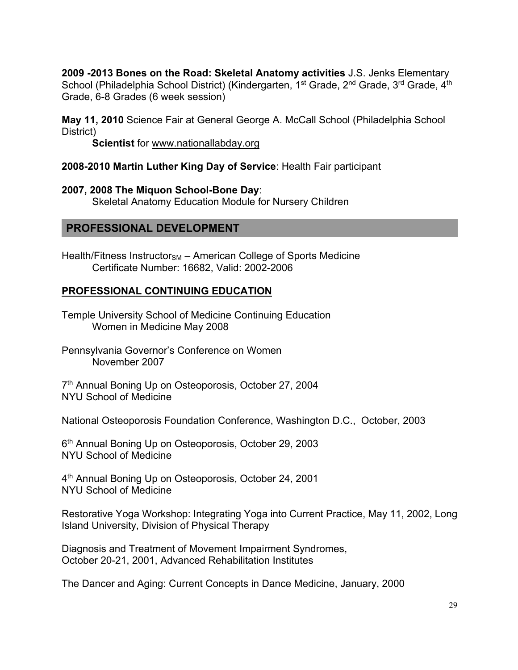**2009 -2013 Bones on the Road: Skeletal Anatomy activities** J.S. Jenks Elementary School (Philadelphia School District) (Kindergarten, 1<sup>st</sup> Grade, 2<sup>nd</sup> Grade, 3<sup>rd</sup> Grade, 4<sup>th</sup> Grade, 6-8 Grades (6 week session)

**May 11, 2010** Science Fair at General George A. McCall School (Philadelphia School District)

**Scientist** for www.nationallabday.org

### **2008-2010 Martin Luther King Day of Service**: Health Fair participant

**2007, 2008 The Miquon School-Bone Day**: Skeletal Anatomy Education Module for Nursery Children

### **PROFESSIONAL DEVELOPMENT**

Health/Fitness Instructor<sub>SM</sub> – American College of Sports Medicine Certificate Number: 16682, Valid: 2002-2006

### **PROFESSIONAL CONTINUING EDUCATION**

Temple University School of Medicine Continuing Education Women in Medicine May 2008

Pennsylvania Governor's Conference on Women November 2007

7th Annual Boning Up on Osteoporosis, October 27, 2004 NYU School of Medicine

National Osteoporosis Foundation Conference, Washington D.C., October, 2003

6<sup>th</sup> Annual Boning Up on Osteoporosis, October 29, 2003 NYU School of Medicine

4th Annual Boning Up on Osteoporosis, October 24, 2001 NYU School of Medicine

Restorative Yoga Workshop: Integrating Yoga into Current Practice, May 11, 2002, Long Island University, Division of Physical Therapy

Diagnosis and Treatment of Movement Impairment Syndromes, October 20-21, 2001, Advanced Rehabilitation Institutes

The Dancer and Aging: Current Concepts in Dance Medicine, January, 2000